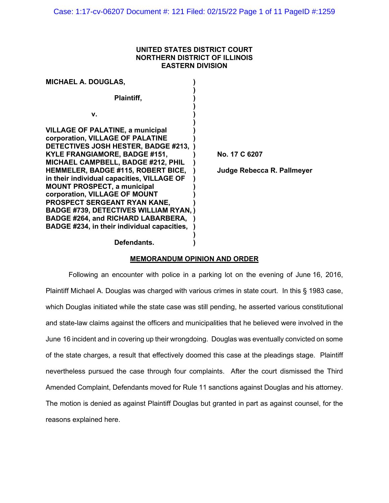## **UNITED STATES DISTRICT COURT NORTHERN DISTRICT OF ILLINOIS EASTERN DIVISION**

| <b>MICHAEL A. DOUGLAS,</b>                                                                                                                                                                                                                                                                                                                                                                                                                                                                                                                      |                                             |
|-------------------------------------------------------------------------------------------------------------------------------------------------------------------------------------------------------------------------------------------------------------------------------------------------------------------------------------------------------------------------------------------------------------------------------------------------------------------------------------------------------------------------------------------------|---------------------------------------------|
| Plaintiff,                                                                                                                                                                                                                                                                                                                                                                                                                                                                                                                                      |                                             |
| v.                                                                                                                                                                                                                                                                                                                                                                                                                                                                                                                                              |                                             |
| <b>VILLAGE OF PALATINE, a municipal</b><br>corporation, VILLAGE OF PALATINE<br>DETECTIVES JOSH HESTER, BADGE #213,<br>KYLE FRANGIAMORE, BADGE #151,<br>MICHAEL CAMPBELL, BADGE #212, PHIL<br><b>HEMMELER, BADGE #115, ROBERT BICE,</b><br>in their individual capacities, VILLAGE OF<br><b>MOUNT PROSPECT, a municipal</b><br>corporation, VILLAGE OF MOUNT<br>PROSPECT SERGEANT RYAN KANE,<br><b>BADGE #739, DETECTIVES WILLIAM RYAN, )</b><br><b>BADGE #264, and RICHARD LABARBERA,</b><br><b>BADGE #234, in their individual capacities,</b> | No. 17 C 6207<br>Judge Rebecca R. Pallmeyer |
| Defendants.                                                                                                                                                                                                                                                                                                                                                                                                                                                                                                                                     |                                             |

# **MEMORANDUM OPINION AND ORDER**

Following an encounter with police in a parking lot on the evening of June 16, 2016, Plaintiff Michael A. Douglas was charged with various crimes in state court. In this § 1983 case, which Douglas initiated while the state case was still pending, he asserted various constitutional and state-law claims against the officers and municipalities that he believed were involved in the June 16 incident and in covering up their wrongdoing. Douglas was eventually convicted on some of the state charges, a result that effectively doomed this case at the pleadings stage. Plaintiff nevertheless pursued the case through four complaints. After the court dismissed the Third Amended Complaint, Defendants moved for Rule 11 sanctions against Douglas and his attorney. The motion is denied as against Plaintiff Douglas but granted in part as against counsel, for the reasons explained here.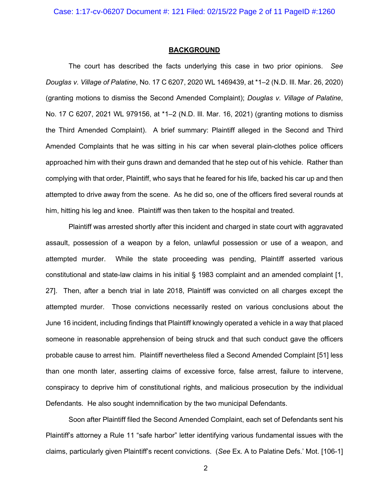#### **BACKGROUND**

The court has described the facts underlying this case in two prior opinions. *See Douglas v. Village of Palatine*, No. 17 C 6207, 2020 WL 1469439, at \*1–2 (N.D. Ill. Mar. 26, 2020) (granting motions to dismiss the Second Amended Complaint); *Douglas v. Village of Palatine*, No. 17 C 6207, 2021 WL 979156, at \*1–2 (N.D. Ill. Mar. 16, 2021) (granting motions to dismiss the Third Amended Complaint). A brief summary: Plaintiff alleged in the Second and Third Amended Complaints that he was sitting in his car when several plain-clothes police officers approached him with their guns drawn and demanded that he step out of his vehicle. Rather than complying with that order, Plaintiff, who says that he feared for his life, backed his car up and then attempted to drive away from the scene. As he did so, one of the officers fired several rounds at him, hitting his leg and knee. Plaintiff was then taken to the hospital and treated.

Plaintiff was arrested shortly after this incident and charged in state court with aggravated assault, possession of a weapon by a felon, unlawful possession or use of a weapon, and attempted murder. While the state proceeding was pending, Plaintiff asserted various constitutional and state-law claims in his initial § 1983 complaint and an amended complaint [1, 27]. Then, after a bench trial in late 2018, Plaintiff was convicted on all charges except the attempted murder. Those convictions necessarily rested on various conclusions about the June 16 incident, including findings that Plaintiff knowingly operated a vehicle in a way that placed someone in reasonable apprehension of being struck and that such conduct gave the officers probable cause to arrest him. Plaintiff nevertheless filed a Second Amended Complaint [51] less than one month later, asserting claims of excessive force, false arrest, failure to intervene, conspiracy to deprive him of constitutional rights, and malicious prosecution by the individual Defendants. He also sought indemnification by the two municipal Defendants.

Soon after Plaintiff filed the Second Amended Complaint, each set of Defendants sent his Plaintiff's attorney a Rule 11 "safe harbor" letter identifying various fundamental issues with the claims, particularly given Plaintiff's recent convictions. (*See* Ex. A to Palatine Defs.' Mot. [106-1]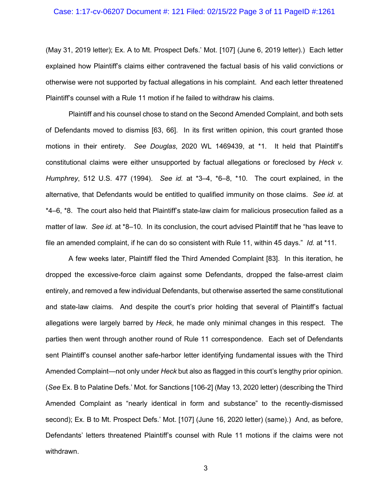### Case: 1:17-cv-06207 Document #: 121 Filed: 02/15/22 Page 3 of 11 PageID #:1261

(May 31, 2019 letter); Ex. A to Mt. Prospect Defs.' Mot. [107] (June 6, 2019 letter).) Each letter explained how Plaintiff's claims either contravened the factual basis of his valid convictions or otherwise were not supported by factual allegations in his complaint. And each letter threatened Plaintiff's counsel with a Rule 11 motion if he failed to withdraw his claims.

Plaintiff and his counsel chose to stand on the Second Amended Complaint, and both sets of Defendants moved to dismiss [63, 66]. In its first written opinion, this court granted those motions in their entirety. *See Douglas*, 2020 WL 1469439, at \*1. It held that Plaintiff's constitutional claims were either unsupported by factual allegations or foreclosed by *Heck v. Humphrey*, 512 U.S. 477 (1994). *See id.* at \*3–4, \*6–8, \*10. The court explained, in the alternative, that Defendants would be entitled to qualified immunity on those claims. *See id.* at \*4–6, \*8. The court also held that Plaintiff's state-law claim for malicious prosecution failed as a matter of law. *See id.* at \*8–10. In its conclusion, the court advised Plaintiff that he "has leave to file an amended complaint, if he can do so consistent with Rule 11, within 45 days." *Id.* at \*11.

A few weeks later, Plaintiff filed the Third Amended Complaint [83]. In this iteration, he dropped the excessive-force claim against some Defendants, dropped the false-arrest claim entirely, and removed a few individual Defendants, but otherwise asserted the same constitutional and state-law claims. And despite the court's prior holding that several of Plaintiff's factual allegations were largely barred by *Heck*, he made only minimal changes in this respect. The parties then went through another round of Rule 11 correspondence. Each set of Defendants sent Plaintiff's counsel another safe-harbor letter identifying fundamental issues with the Third Amended Complaint—not only under *Heck* but also as flagged in this court's lengthy prior opinion. (*See* Ex. B to Palatine Defs.' Mot. for Sanctions [106-2] (May 13, 2020 letter) (describing the Third Amended Complaint as "nearly identical in form and substance" to the recently-dismissed second); Ex. B to Mt. Prospect Defs.' Mot. [107] (June 16, 2020 letter) (same).) And, as before, Defendants' letters threatened Plaintiff's counsel with Rule 11 motions if the claims were not withdrawn.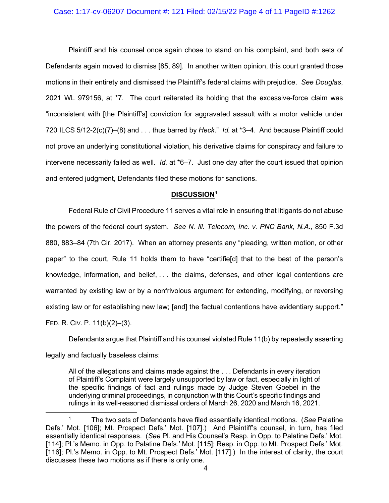#### Case: 1:17-cv-06207 Document #: 121 Filed: 02/15/22 Page 4 of 11 PageID #:1262

Plaintiff and his counsel once again chose to stand on his complaint, and both sets of Defendants again moved to dismiss [85, 89]. In another written opinion, this court granted those motions in their entirety and dismissed the Plaintiff's federal claims with prejudice. *See Douglas*, 2021 WL 979156, at \*7. The court reiterated its holding that the excessive-force claim was "inconsistent with [the Plaintiff's] conviction for aggravated assault with a motor vehicle under 720 ILCS 5/12-2(c)(7)–(8) and . . . thus barred by *Heck*." *Id.* at \*3–4. And because Plaintiff could not prove an underlying constitutional violation, his derivative claims for conspiracy and failure to intervene necessarily failed as well. *Id.* at \*6–7. Just one day after the court issued that opinion and entered judgment, Defendants filed these motions for sanctions.

#### **DISCUSSION[1](#page-3-0)**

Federal Rule of Civil Procedure 11 serves a vital role in ensuring that litigants do not abuse the powers of the federal court system. *See N. Ill. Telecom, Inc. v. PNC Bank, N.A.*, 850 F.3d 880, 883–84 (7th Cir. 2017). When an attorney presents any "pleading, written motion, or other paper" to the court, Rule 11 holds them to have "certifie[d] that to the best of the person's knowledge, information, and belief, . . . the claims, defenses, and other legal contentions are warranted by existing law or by a nonfrivolous argument for extending, modifying, or reversing existing law or for establishing new law; [and] the factual contentions have evidentiary support." FED. R. CIV. P. 11(b)(2)–(3).

Defendants argue that Plaintiff and his counsel violated Rule 11(b) by repeatedly asserting legally and factually baseless claims:

All of the allegations and claims made against the . . . Defendants in every iteration of Plaintiff's Complaint were largely unsupported by law or fact, especially in light of the specific findings of fact and rulings made by Judge Steven Goebel in the underlying criminal proceedings, in conjunction with this Court's specific findings and rulings in its well-reasoned dismissal orders of March 26, 2020 and March 16, 2021.

<span id="page-3-0"></span><sup>1</sup> The two sets of Defendants have filed essentially identical motions. (*See* Palatine Defs.' Mot. [106]; Mt. Prospect Defs.' Mot. [107].) And Plaintiff's counsel, in turn, has filed essentially identical responses. (*See* Pl. and His Counsel's Resp. in Opp. to Palatine Defs.' Mot. [114]; Pl.'s Memo. in Opp. to Palatine Defs.' Mot. [115]; Resp. in Opp. to Mt. Prospect Defs.' Mot. [116]; Pl.'s Memo. in Opp. to Mt. Prospect Defs.' Mot. [117].) In the interest of clarity, the court discusses these two motions as if there is only one.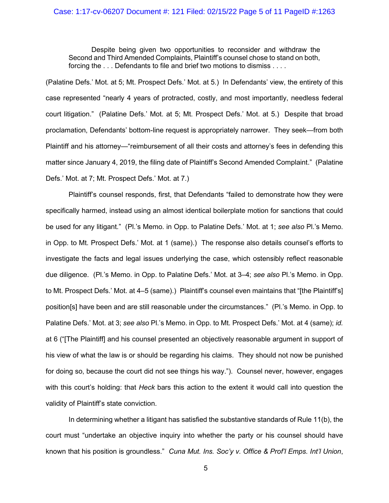# Case: 1:17-cv-06207 Document #: 121 Filed: 02/15/22 Page 5 of 11 PageID #:1263

Despite being given two opportunities to reconsider and withdraw the Second and Third Amended Complaints, Plaintiff's counsel chose to stand on both, forcing the ... Defendants to file and brief two motions to dismiss ....

(Palatine Defs.' Mot. at 5; Mt. Prospect Defs.' Mot. at 5.) In Defendants' view, the entirety of this case represented "nearly 4 years of protracted, costly, and most importantly, needless federal court litigation." (Palatine Defs.' Mot. at 5; Mt. Prospect Defs.' Mot. at 5.) Despite that broad proclamation, Defendants' bottom-line request is appropriately narrower. They seek—from both Plaintiff and his attorney—"reimbursement of all their costs and attorney's fees in defending this matter since January 4, 2019, the filing date of Plaintiff's Second Amended Complaint." (Palatine Defs.' Mot. at 7; Mt. Prospect Defs.' Mot. at 7.)

Plaintiff's counsel responds, first, that Defendants "failed to demonstrate how they were specifically harmed, instead using an almost identical boilerplate motion for sanctions that could be used for any litigant." (Pl.'s Memo. in Opp. to Palatine Defs.' Mot. at 1; *see also* Pl.'s Memo. in Opp. to Mt. Prospect Defs.' Mot. at 1 (same).) The response also details counsel's efforts to investigate the facts and legal issues underlying the case, which ostensibly reflect reasonable due diligence. (Pl.'s Memo. in Opp. to Palatine Defs.' Mot. at 3–4; *see also* Pl.'s Memo. in Opp. to Mt. Prospect Defs.' Mot. at 4–5 (same).) Plaintiff's counsel even maintains that "[the Plaintiff's] position[s] have been and are still reasonable under the circumstances." (Pl.'s Memo. in Opp. to Palatine Defs.' Mot. at 3; *see also* Pl.'s Memo. in Opp. to Mt. Prospect Defs.' Mot. at 4 (same); *id.*  at 6 ("[The Plaintiff] and his counsel presented an objectively reasonable argument in support of his view of what the law is or should be regarding his claims. They should not now be punished for doing so, because the court did not see things his way."). Counsel never, however, engages with this court's holding: that *Heck* bars this action to the extent it would call into question the validity of Plaintiff's state conviction.

In determining whether a litigant has satisfied the substantive standards of Rule 11(b), the court must "undertake an objective inquiry into whether the party or his counsel should have known that his position is groundless." *Cuna Mut. Ins. Soc'y v. Office & Prof'l Emps. Int'l Union*,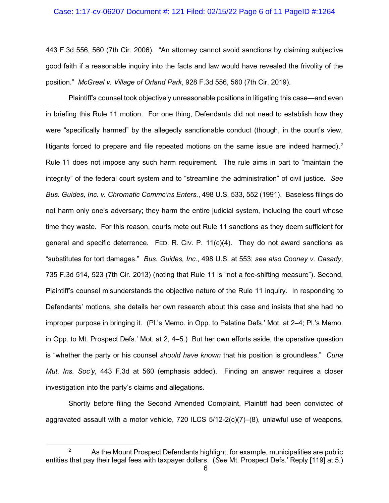# Case: 1:17-cv-06207 Document #: 121 Filed: 02/15/22 Page 6 of 11 PageID #:1264

443 F.3d 556, 560 (7th Cir. 2006). "An attorney cannot avoid sanctions by claiming subjective good faith if a reasonable inquiry into the facts and law would have revealed the frivolity of the position." *McGreal v. Village of Orland Park*, 928 F.3d 556, 560 (7th Cir. 2019).

Plaintiff's counsel took objectively unreasonable positions in litigating this case—and even in briefing this Rule 11 motion. For one thing, Defendants did not need to establish how they were "specifically harmed" by the allegedly sanctionable conduct (though, in the court's view, litigants forced to prepare and file repeated motions on the same issue are indeed harmed).<sup>[2](#page-5-0)</sup> Rule 11 does not impose any such harm requirement. The rule aims in part to "maintain the integrity" of the federal court system and to "streamline the administration" of civil justice. *See Bus. Guides, Inc. v. Chromatic Commc'ns Enters.*, 498 U.S. 533, 552 (1991). Baseless filings do not harm only one's adversary; they harm the entire judicial system, including the court whose time they waste. For this reason, courts mete out Rule 11 sanctions as they deem sufficient for general and specific deterrence. FED. R. CIV. P.  $11(c)(4)$ . They do not award sanctions as "substitutes for tort damages." *Bus. Guides, Inc.*, 498 U.S. at 553; *see also Cooney v. Casady*, 735 F.3d 514, 523 (7th Cir. 2013) (noting that Rule 11 is "not a fee-shifting measure"). Second, Plaintiff's counsel misunderstands the objective nature of the Rule 11 inquiry. In responding to Defendants' motions, she details her own research about this case and insists that she had no improper purpose in bringing it. (Pl.'s Memo. in Opp. to Palatine Defs.' Mot. at 2–4; Pl.'s Memo. in Opp. to Mt. Prospect Defs.' Mot. at 2, 4–5.) But her own efforts aside, the operative question is "whether the party or his counsel *should have known* that his position is groundless." *Cuna Mut. Ins. Soc'y*, 443 F.3d at 560 (emphasis added). Finding an answer requires a closer investigation into the party's claims and allegations.

Shortly before filing the Second Amended Complaint, Plaintiff had been convicted of aggravated assault with a motor vehicle,  $720$  ILCS  $5/12-2(c)(7)$ – $(8)$ , unlawful use of weapons,

<span id="page-5-0"></span><sup>&</sup>lt;sup>2</sup> As the Mount Prospect Defendants highlight, for example, municipalities are public entities that pay their legal fees with taxpayer dollars. (*See* Mt. Prospect Defs.' Reply [119] at 5.)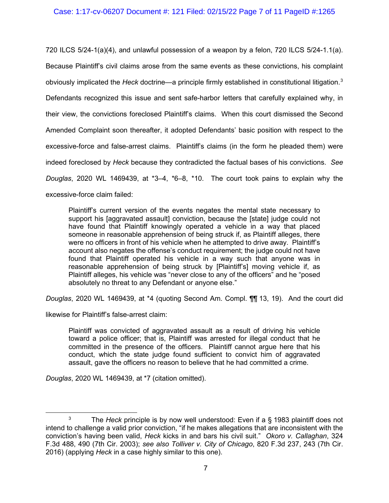### Case: 1:17-cv-06207 Document #: 121 Filed: 02/15/22 Page 7 of 11 PageID #:1265

720 ILCS 5/24-1(a)(4), and unlawful possession of a weapon by a felon, 720 ILCS 5/24-1.1(a). Because Plaintiff's civil claims arose from the same events as these convictions, his complaint obviously implicated the *Heck* doctrine—a principle firmly established in constitutional litigation. [3](#page-6-0) Defendants recognized this issue and sent safe-harbor letters that carefully explained why, in their view, the convictions foreclosed Plaintiff's claims. When this court dismissed the Second Amended Complaint soon thereafter, it adopted Defendants' basic position with respect to the excessive-force and false-arrest claims. Plaintiff's claims (in the form he pleaded them) were indeed foreclosed by *Heck* because they contradicted the factual bases of his convictions. *See Douglas*, 2020 WL 1469439, at \*3–4, \*6–8, \*10. The court took pains to explain why the excessive-force claim failed:

Plaintiff's current version of the events negates the mental state necessary to support his [aggravated assault] conviction, because the [state] judge could not have found that Plaintiff knowingly operated a vehicle in a way that placed someone in reasonable apprehension of being struck if, as Plaintiff alleges, there were no officers in front of his vehicle when he attempted to drive away. Plaintiff's account also negates the offense's conduct requirement; the judge could not have found that Plaintiff operated his vehicle in a way such that anyone was in reasonable apprehension of being struck by [Plaintiff's] moving vehicle if, as Plaintiff alleges, his vehicle was "never close to any of the officers" and he "posed absolutely no threat to any Defendant or anyone else."

*Douglas*, 2020 WL 1469439, at \*4 (quoting Second Am. Compl. ¶¶ 13, 19). And the court did

likewise for Plaintiff's false-arrest claim:

Plaintiff was convicted of aggravated assault as a result of driving his vehicle toward a police officer; that is, Plaintiff was arrested for illegal conduct that he committed in the presence of the officers. Plaintiff cannot argue here that his conduct, which the state judge found sufficient to convict him of aggravated assault, gave the officers no reason to believe that he had committed a crime.

*Douglas*, 2020 WL 1469439, at \*7 (citation omitted).

<span id="page-6-0"></span><sup>3</sup> The *Heck* principle is by now well understood: Even if a § 1983 plaintiff does not intend to challenge a valid prior conviction, "if he makes allegations that are inconsistent with the conviction's having been valid, *Heck* kicks in and bars his civil suit." *Okoro v. Callaghan*, 324 F.3d 488, 490 (7th Cir. 2003); *see also Tolliver v. City of Chicago*, 820 F.3d 237, 243 (7th Cir. 2016) (applying *Heck* in a case highly similar to this one).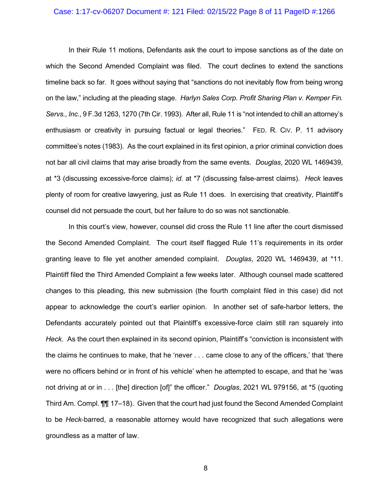#### Case: 1:17-cv-06207 Document #: 121 Filed: 02/15/22 Page 8 of 11 PageID #:1266

In their Rule 11 motions, Defendants ask the court to impose sanctions as of the date on which the Second Amended Complaint was filed. The court declines to extend the sanctions timeline back so far. It goes without saying that "sanctions do not inevitably flow from being wrong on the law," including at the pleading stage. *Harlyn Sales Corp. Profit Sharing Plan v. Kemper Fin. Servs., Inc.*, 9 F.3d 1263, 1270 (7th Cir. 1993). After all, Rule 11 is "not intended to chill an attorney's enthusiasm or creativity in pursuing factual or legal theories." FED. R. CIV. P. 11 advisory committee's notes (1983). As the court explained in its first opinion, a prior criminal conviction does not bar all civil claims that may arise broadly from the same events. *Douglas*, 2020 WL 1469439, at \*3 (discussing excessive-force claims); *id.* at \*7 (discussing false-arrest claims). *Heck* leaves plenty of room for creative lawyering, just as Rule 11 does. In exercising that creativity, Plaintiff's counsel did not persuade the court, but her failure to do so was not sanctionable.

In this court's view, however, counsel did cross the Rule 11 line after the court dismissed the Second Amended Complaint. The court itself flagged Rule 11's requirements in its order granting leave to file yet another amended complaint. *Douglas*, 2020 WL 1469439, at \*11. Plaintiff filed the Third Amended Complaint a few weeks later. Although counsel made scattered changes to this pleading, this new submission (the fourth complaint filed in this case) did not appear to acknowledge the court's earlier opinion. In another set of safe-harbor letters, the Defendants accurately pointed out that Plaintiff's excessive-force claim still ran squarely into *Heck*. As the court then explained in its second opinion, Plaintiff's "conviction is inconsistent with the claims he continues to make, that he 'never . . . came close to any of the officers,' that 'there were no officers behind or in front of his vehicle' when he attempted to escape, and that he 'was not driving at or in . . . [the] direction [of]" the officer." *Douglas*, 2021 WL 979156, at \*5 (quoting Third Am. Compl. ¶¶ 17–18). Given that the court had just found the Second Amended Complaint to be *Heck*-barred, a reasonable attorney would have recognized that such allegations were groundless as a matter of law.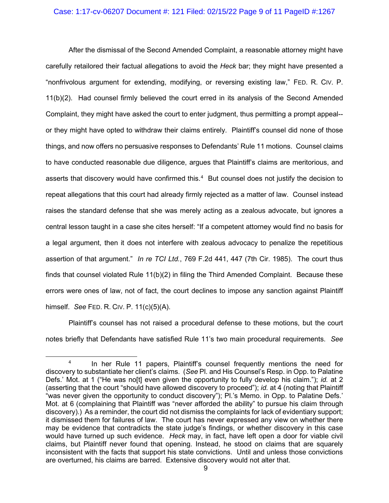### Case: 1:17-cv-06207 Document #: 121 Filed: 02/15/22 Page 9 of 11 PageID #:1267

After the dismissal of the Second Amended Complaint, a reasonable attorney might have carefully retailored their factual allegations to avoid the *Heck* bar; they might have presented a "nonfrivolous argument for extending, modifying, or reversing existing law," FED. R. CIV. P. 11(b)(2). Had counsel firmly believed the court erred in its analysis of the Second Amended Complaint, they might have asked the court to enter judgment, thus permitting a prompt appeal- or they might have opted to withdraw their claims entirely. Plaintiff's counsel did none of those things, and now offers no persuasive responses to Defendants' Rule 11 motions. Counsel claims to have conducted reasonable due diligence, argues that Plaintiff's claims are meritorious, and asserts that discovery would have confirmed this.<sup>[4](#page-8-0)</sup> But counsel does not justify the decision to repeat allegations that this court had already firmly rejected as a matter of law. Counsel instead raises the standard defense that she was merely acting as a zealous advocate, but ignores a central lesson taught in a case she cites herself: "If a competent attorney would find no basis for a legal argument, then it does not interfere with zealous advocacy to penalize the repetitious assertion of that argument." *In re TCI Ltd.*, 769 F.2d 441, 447 (7th Cir. 1985). The court thus finds that counsel violated Rule 11(b)(2) in filing the Third Amended Complaint. Because these errors were ones of law, not of fact, the court declines to impose any sanction against Plaintiff himself. *See* FED. R. CIV. P. 11(c)(5)(A).

Plaintiff's counsel has not raised a procedural defense to these motions, but the court notes briefly that Defendants have satisfied Rule 11's two main procedural requirements. *See* 

<span id="page-8-0"></span>In her Rule 11 papers, Plaintiff's counsel frequently mentions the need for discovery to substantiate her client's claims. (*See* Pl. and His Counsel's Resp. in Opp. to Palatine Defs.' Mot. at 1 ("He was no[t] even given the opportunity to fully develop his claim."); *id.* at 2 (asserting that the court "should have allowed discovery to proceed"); *id.* at 4 (noting that Plaintiff "was never given the opportunity to conduct discovery"); Pl.'s Memo. in Opp. to Palatine Defs.' Mot. at 6 (complaining that Plaintiff was "never afforded the ability" to pursue his claim through discovery).) As a reminder, the court did not dismiss the complaints for lack of evidentiary support; it dismissed them for failures of law. The court has never expressed any view on whether there may be evidence that contradicts the state judge's findings, or whether discovery in this case would have turned up such evidence. *Heck* may, in fact, have left open a door for viable civil claims, but Plaintiff never found that opening. Instead, he stood on claims that are squarely inconsistent with the facts that support his state convictions. Until and unless those convictions are overturned, his claims are barred. Extensive discovery would not alter that.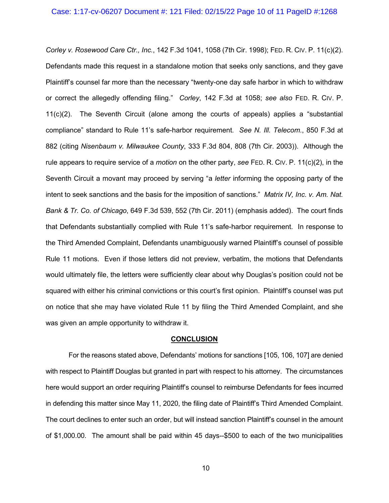*Corley v. Rosewood Care Ctr., Inc.*, 142 F.3d 1041, 1058 (7th Cir. 1998); FED. R. CIV. P. 11(c)(2). Defendants made this request in a standalone motion that seeks only sanctions, and they gave Plaintiff's counsel far more than the necessary "twenty-one day safe harbor in which to withdraw or correct the allegedly offending filing." *Corley*, 142 F.3d at 1058; *see also* FED. R. CIV. P. 11(c)(2). The Seventh Circuit (alone among the courts of appeals) applies a "substantial compliance" standard to Rule 11's safe-harbor requirement. *See N. Ill. Telecom.*, 850 F.3d at 882 (citing *Nisenbaum v. Milwaukee County*, 333 F.3d 804, 808 (7th Cir. 2003)). Although the rule appears to require service of a *motion* on the other party, *see* FED. R. CIV. P. 11(c)(2), in the Seventh Circuit a movant may proceed by serving "a *letter* informing the opposing party of the intent to seek sanctions and the basis for the imposition of sanctions." *Matrix IV, Inc. v. Am. Nat. Bank & Tr. Co. of Chicago*, 649 F.3d 539, 552 (7th Cir. 2011) (emphasis added). The court finds that Defendants substantially complied with Rule 11's safe-harbor requirement. In response to the Third Amended Complaint, Defendants unambiguously warned Plaintiff's counsel of possible Rule 11 motions. Even if those letters did not preview, verbatim, the motions that Defendants would ultimately file, the letters were sufficiently clear about why Douglas's position could not be squared with either his criminal convictions or this court's first opinion. Plaintiff's counsel was put on notice that she may have violated Rule 11 by filing the Third Amended Complaint, and she was given an ample opportunity to withdraw it.

### **CONCLUSION**

For the reasons stated above, Defendants' motions for sanctions [105, 106, 107] are denied with respect to Plaintiff Douglas but granted in part with respect to his attorney. The circumstances here would support an order requiring Plaintiff's counsel to reimburse Defendants for fees incurred in defending this matter since May 11, 2020, the filing date of Plaintiff's Third Amended Complaint. The court declines to enter such an order, but will instead sanction Plaintiff's counsel in the amount of \$1,000.00. The amount shall be paid within 45 days--\$500 to each of the two municipalities